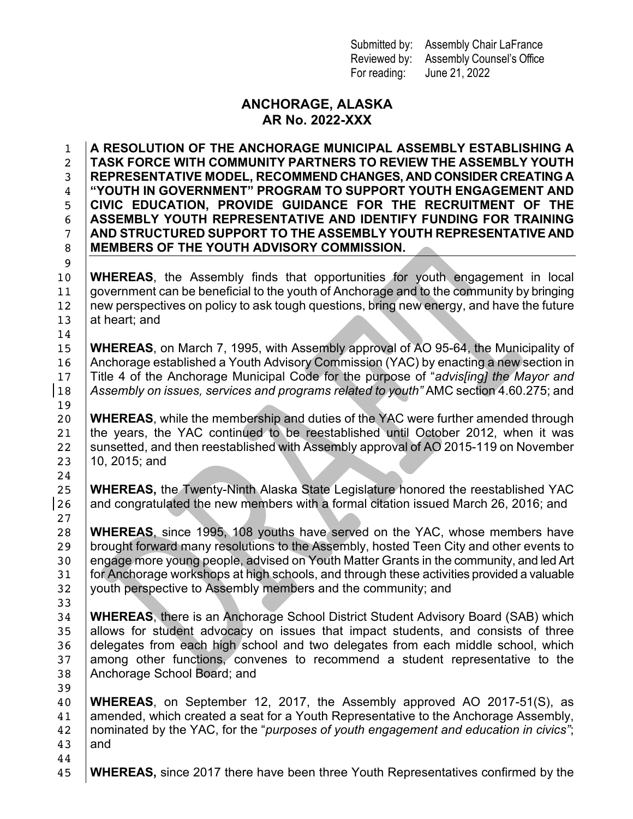Submitted by: Assembly Chair LaFrance Reviewed by: Assembly Counsel's Office For reading: June 21, 2022

## **ANCHORAGE, ALASKA AR No. 2022-XXX**

 **A RESOLUTION OF THE ANCHORAGE MUNICIPAL ASSEMBLY ESTABLISHING A TASK FORCE WITH COMMUNITY PARTNERS TO REVIEW THE ASSEMBLY YOUTH REPRESENTATIVE MODEL, RECOMMEND CHANGES, AND CONSIDER CREATING A "YOUTH IN GOVERNMENT" PROGRAM TO SUPPORT YOUTH ENGAGEMENT AND CIVIC EDUCATION, PROVIDE GUIDANCE FOR THE RECRUITMENT OF THE ASSEMBLY YOUTH REPRESENTATIVE AND IDENTIFY FUNDING FOR TRAINING AND STRUCTURED SUPPORT TO THE ASSEMBLY YOUTH REPRESENTATIVE AND MEMBERS OF THE YOUTH ADVISORY COMMISSION.**

 **WHEREAS**, the Assembly finds that opportunities for youth engagement in local government can be beneficial to the youth of Anchorage and to the community by bringing 12 new perspectives on policy to ask tough questions, bring new energy, and have the future  $|$  at heart; and

 **WHEREAS**, on March 7, 1995, with Assembly approval of AO 95-64, the Municipality of 16 Anchorage established a Youth Advisory Commission (YAC) by enacting a new section in Title 4 of the Anchorage Municipal Code for the purpose of "*advis[ing] the Mayor and Assembly on issues, services and programs related to youth"* AMC section 4.60.275; and

 **WHEREAS**, while the membership and duties of the YAC were further amended through the years, the YAC continued to be reestablished until October 2012, when it was 22 Sunsetted, and then reestablished with Assembly approval of AO 2015-119 on November 10, 2015; and

 **WHEREAS,** the Twenty-Ninth Alaska State Legislature honored the reestablished YAC |26  $\mid$  and congratulated the new members with a formal citation issued March 26, 2016; and

 **WHEREAS**, since 1995, 108 youths have served on the YAC, whose members have 29 brought forward many resolutions to the Assembly, hosted Teen City and other events to engage more young people, advised on Youth Matter Grants in the community, and led Art 31 for Anchorage workshops at high schools, and through these activities provided a valuable 32 youth perspective to Assembly members and the community; and

 **WHEREAS**, there is an Anchorage School District Student Advisory Board (SAB) which 35 allows for student advocacy on issues that impact students, and consists of three delegates from each high school and two delegates from each middle school, which 37 among other functions, convenes to recommend a student representative to the Anchorage School Board; and

- **WHEREAS**, on September 12, 2017, the Assembly approved AO 2017-51(S), as 41 amended, which created a seat for a Youth Representative to the Anchorage Assembly, nominated by the YAC, for the "*purposes of youth engagement and education in civics"*; 43  $|$  and
- 

**WHEREAS,** since 2017 there have been three Youth Representatives confirmed by the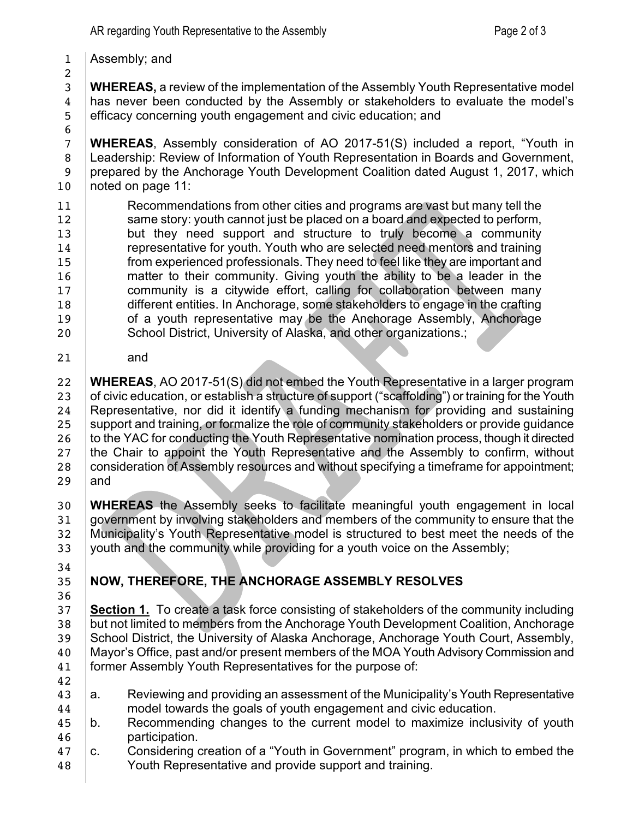Assembly; and

 **WHEREAS,** a review of the implementation of the Assembly Youth Representative model has never been conducted by the Assembly or stakeholders to evaluate the model's efficacy concerning youth engagement and civic education; and

 **WHEREAS**, Assembly consideration of AO 2017-51(S) included a report, "Youth in Leadership: Review of Information of Youth Representation in Boards and Government, 9 prepared by the Anchorage Youth Development Coalition dated August 1, 2017, which 10 | noted on page 11:

**Recommendations from other cities and programs are vast but many tell the Same story:** youth cannot just be placed on a board and expected to perform, 13 but they need support and structure to truly become a community **representative for youth. Youth who are selected need mentors and training from experienced professionals. They need to feel like they are important and matter to their community. Giving youth the ability to be a leader in the community is a citywide effort, calling for collaboration between many**  different entities. In Anchorage, some stakeholders to engage in the crafting **of a youth representative may be the Anchorage Assembly, Anchorage** 20 | School District, University of Alaska, and other organizations.;

and

 **WHEREAS**, AO 2017-51(S) did not embed the Youth Representative in a larger program 23 of civic education, or establish a structure of support ("scaffolding") or training for the Youth Representative, nor did it identify a funding mechanism for providing and sustaining 25 Support and training, or formalize the role of community stakeholders or provide guidance 26 to the YAC for conducting the Youth Representative nomination process, though it directed 27 the Chair to appoint the Youth Representative and the Assembly to confirm, without 28 consideration of Assembly resources and without specifying a timeframe for appointment; and

 **WHEREAS** the Assembly seeks to facilitate meaningful youth engagement in local 31 government by involving stakeholders and members of the community to ensure that the Municipality's Youth Representative model is structured to best meet the needs of the 33 youth and the community while providing for a youth voice on the Assembly;

## **NOW, THEREFORE, THE ANCHORAGE ASSEMBLY RESOLVES**

 **Section 1.** To create a task force consisting of stakeholders of the community including 38 but not limited to members from the Anchorage Youth Development Coalition, Anchorage 39 School District, the University of Alaska Anchorage, Anchorage Youth Court, Assembly, Mayor's Office, past and/or present members of the MOA Youth Advisory Commission and 41 | former Assembly Youth Representatives for the purpose of:

- a. Reviewing and providing an assessment of the Municipality's Youth Representative **model towards the goals of youth engagement and civic education.**
- b. Recommending changes to the current model to maximize inclusivity of youth participation.
- $\,$  c. Considering creation of a "Youth in Government" program, in which to embed the Youth Representative and provide support and training.